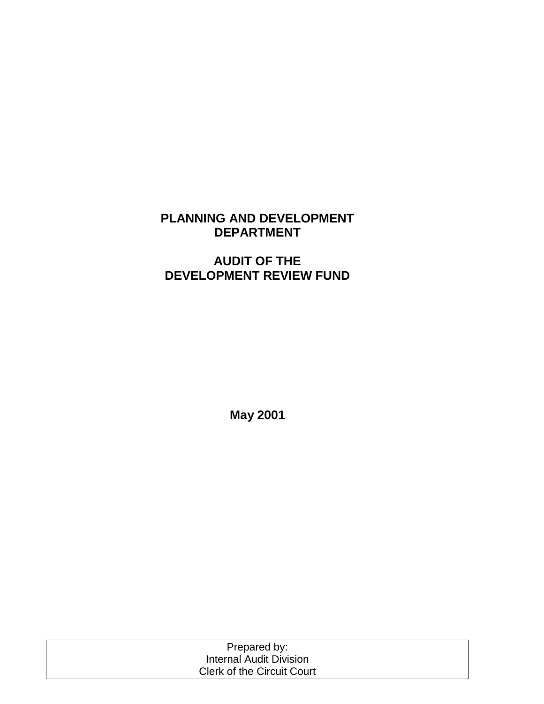# **PLANNING AND DEVELOPMENT DEPARTMENT**

# **AUDIT OF THE DEVELOPMENT REVIEW FUND**

**May 2001** 

| Prepared by:                      |
|-----------------------------------|
| <b>Internal Audit Division</b>    |
| <b>Clerk of the Circuit Court</b> |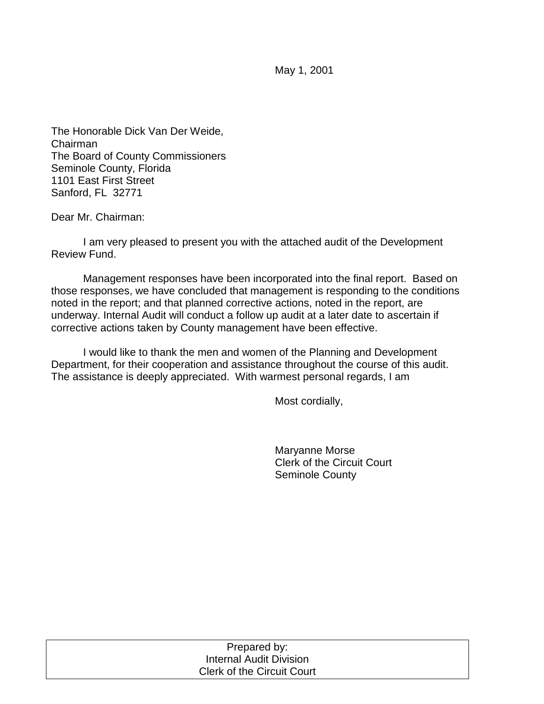May 1, 2001

The Honorable Dick Van Der Weide, Chairman The Board of County Commissioners Seminole County, Florida 1101 East First Street Sanford, FL 32771

Dear Mr. Chairman:

 I am very pleased to present you with the attached audit of the Development Review Fund.

 Management responses have been incorporated into the final report. Based on those responses, we have concluded that management is responding to the conditions noted in the report; and that planned corrective actions, noted in the report, are underway. Internal Audit will conduct a follow up audit at a later date to ascertain if corrective actions taken by County management have been effective.

I would like to thank the men and women of the Planning and Development Department, for their cooperation and assistance throughout the course of this audit. The assistance is deeply appreciated. With warmest personal regards, I am

Most cordially,

 Maryanne Morse Clerk of the Circuit Court Seminole County

| Prepared by:                      |  |
|-----------------------------------|--|
| Internal Audit Division           |  |
| <b>Clerk of the Circuit Court</b> |  |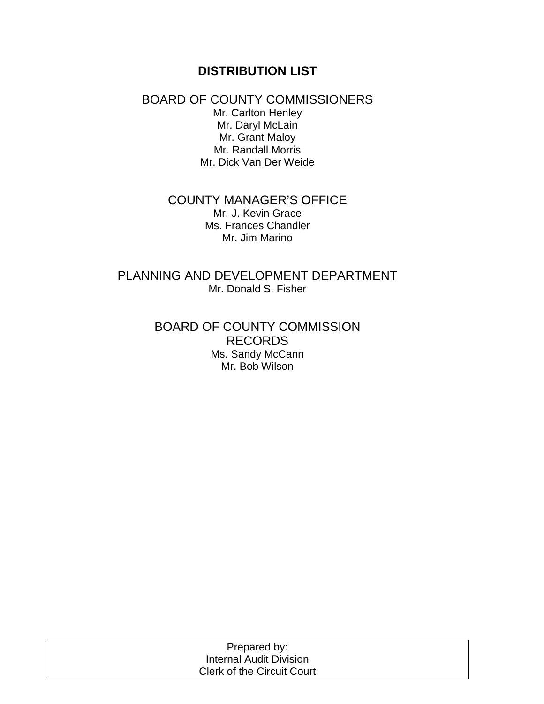# **DISTRIBUTION LIST**

## BOARD OF COUNTY COMMISSIONERS

Mr. Carlton Henley Mr. Daryl McLain Mr. Grant Maloy Mr. Randall Morris Mr. Dick Van Der Weide

#### COUNTY MANAGER'S OFFICE Mr. J. Kevin Grace Ms. Frances Chandler Mr. Jim Marino

PLANNING AND DEVELOPMENT DEPARTMENT Mr. Donald S. Fisher

> BOARD OF COUNTY COMMISSION RECORDS Ms. Sandy McCann Mr. Bob Wilson

| Prepared by:                      |
|-----------------------------------|
| Internal Audit Division           |
| <b>Clerk of the Circuit Court</b> |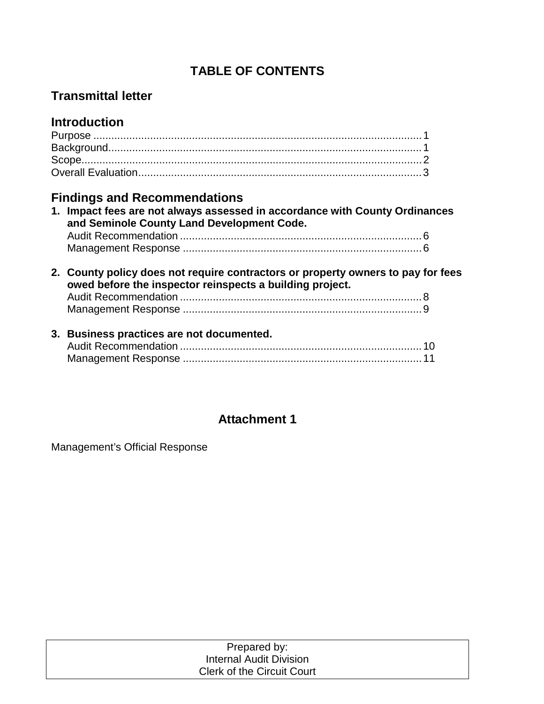# **TABLE OF CONTENTS**

# **Transmittal letter**

# **Introduction**

# **Findings and Recommendations**

| 1. Impact fees are not always assessed in accordance with County Ordinances<br>and Seminole County Land Development Code.                    |     |
|----------------------------------------------------------------------------------------------------------------------------------------------|-----|
|                                                                                                                                              |     |
|                                                                                                                                              |     |
| 2. County policy does not require contractors or property owners to pay for fees<br>owed before the inspector reinspects a building project. |     |
|                                                                                                                                              |     |
|                                                                                                                                              |     |
| 3. Business practices are not documented.                                                                                                    |     |
| Audit Pocommondation                                                                                                                         | 1 N |

# **Attachment 1**

Management's Official Response

| Prepared by:                      |  |
|-----------------------------------|--|
| Internal Audit Division           |  |
| <b>Clerk of the Circuit Court</b> |  |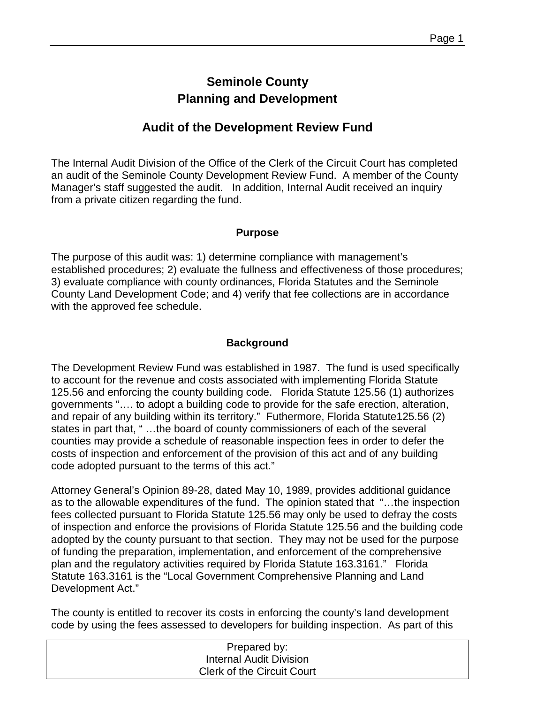# **Seminole County Planning and Development**

# **Audit of the Development Review Fund**

The Internal Audit Division of the Office of the Clerk of the Circuit Court has completed an audit of the Seminole County Development Review Fund. A member of the County Manager's staff suggested the audit. In addition, Internal Audit received an inquiry from a private citizen regarding the fund.

#### **Purpose**

The purpose of this audit was: 1) determine compliance with management's established procedures; 2) evaluate the fullness and effectiveness of those procedures; 3) evaluate compliance with county ordinances, Florida Statutes and the Seminole County Land Development Code; and 4) verify that fee collections are in accordance with the approved fee schedule.

### **Background**

The Development Review Fund was established in 1987. The fund is used specifically to account for the revenue and costs associated with implementing Florida Statute 125.56 and enforcing the county building code. Florida Statute 125.56 (1) authorizes governments "…. to adopt a building code to provide for the safe erection, alteration, and repair of any building within its territory." Futhermore, Florida Statute125.56 (2) states in part that, " …the board of county commissioners of each of the several counties may provide a schedule of reasonable inspection fees in order to defer the costs of inspection and enforcement of the provision of this act and of any building code adopted pursuant to the terms of this act."

Attorney General's Opinion 89-28, dated May 10, 1989, provides additional guidance as to the allowable expenditures of the fund. The opinion stated that "…the inspection fees collected pursuant to Florida Statute 125.56 may only be used to defray the costs of inspection and enforce the provisions of Florida Statute 125.56 and the building code adopted by the county pursuant to that section. They may not be used for the purpose of funding the preparation, implementation, and enforcement of the comprehensive plan and the regulatory activities required by Florida Statute 163.3161." Florida Statute 163.3161 is the "Local Government Comprehensive Planning and Land Development Act."

The county is entitled to recover its costs in enforcing the county's land development code by using the fees assessed to developers for building inspection. As part of this

| Prepared by:                      |  |
|-----------------------------------|--|
| Internal Audit Division           |  |
| <b>Clerk of the Circuit Court</b> |  |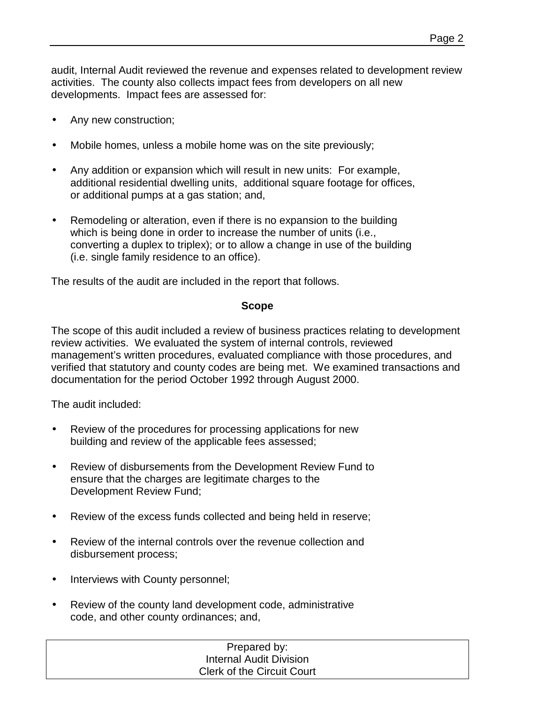audit, Internal Audit reviewed the revenue and expenses related to development review activities. The county also collects impact fees from developers on all new developments. Impact fees are assessed for:

- Any new construction;
- Mobile homes, unless a mobile home was on the site previously;
- Any addition or expansion which will result in new units: For example, additional residential dwelling units, additional square footage for offices, or additional pumps at a gas station; and,
- Remodeling or alteration, even if there is no expansion to the building which is being done in order to increase the number of units (i.e., converting a duplex to triplex); or to allow a change in use of the building (i.e. single family residence to an office).

The results of the audit are included in the report that follows.

#### **Scope**

The scope of this audit included a review of business practices relating to development review activities. We evaluated the system of internal controls, reviewed management's written procedures, evaluated compliance with those procedures, and verified that statutory and county codes are being met. We examined transactions and documentation for the period October 1992 through August 2000.

The audit included:

- Review of the procedures for processing applications for new building and review of the applicable fees assessed;
- Review of disbursements from the Development Review Fund to ensure that the charges are legitimate charges to the Development Review Fund;
- Review of the excess funds collected and being held in reserve;
- Review of the internal controls over the revenue collection and disbursement process;
- Interviews with County personnel;
- Review of the county land development code, administrative code, and other county ordinances; and,

Prepared by: Internal Audit Division Clerk of the Circuit Court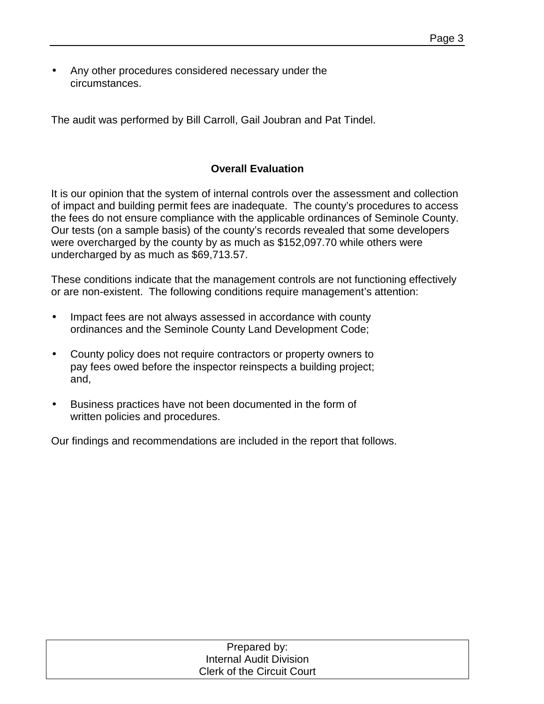• Any other procedures considered necessary under the circumstances.

The audit was performed by Bill Carroll, Gail Joubran and Pat Tindel.

### **Overall Evaluation**

It is our opinion that the system of internal controls over the assessment and collection of impact and building permit fees are inadequate. The county's procedures to access the fees do not ensure compliance with the applicable ordinances of Seminole County. Our tests (on a sample basis) of the county's records revealed that some developers were overcharged by the county by as much as \$152,097.70 while others were undercharged by as much as \$69,713.57.

These conditions indicate that the management controls are not functioning effectively or are non-existent. The following conditions require management's attention:

- Impact fees are not always assessed in accordance with county ordinances and the Seminole County Land Development Code;
- County policy does not require contractors or property owners to pay fees owed before the inspector reinspects a building project; and,
- Business practices have not been documented in the form of written policies and procedures.

Our findings and recommendations are included in the report that follows.

| Prepared by:                      |  |
|-----------------------------------|--|
| <b>Internal Audit Division</b>    |  |
| <b>Clerk of the Circuit Court</b> |  |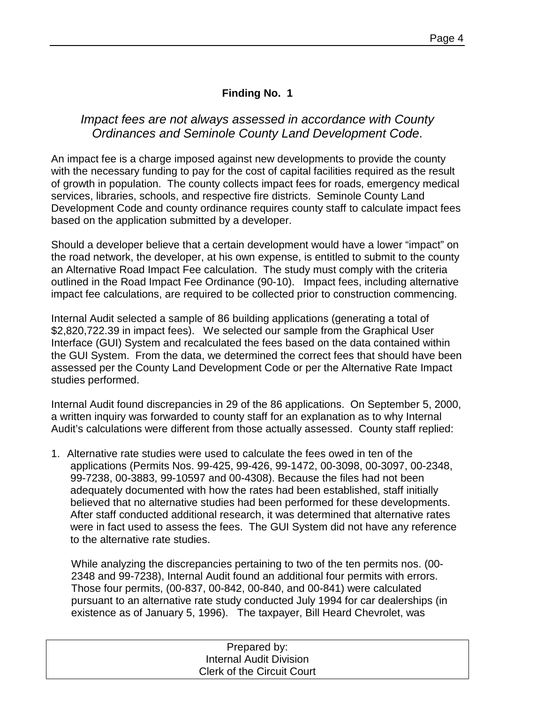## **Finding No. 1**

## *Impact fees are not always assessed in accordance with County Ordinances and Seminole County Land Development Code*.

An impact fee is a charge imposed against new developments to provide the county with the necessary funding to pay for the cost of capital facilities required as the result of growth in population. The county collects impact fees for roads, emergency medical services, libraries, schools, and respective fire districts. Seminole County Land Development Code and county ordinance requires county staff to calculate impact fees based on the application submitted by a developer.

Should a developer believe that a certain development would have a lower "impact" on the road network, the developer, at his own expense, is entitled to submit to the county an Alternative Road Impact Fee calculation. The study must comply with the criteria outlined in the Road Impact Fee Ordinance (90-10). Impact fees, including alternative impact fee calculations, are required to be collected prior to construction commencing.

Internal Audit selected a sample of 86 building applications (generating a total of \$2,820,722.39 in impact fees). We selected our sample from the Graphical User Interface (GUI) System and recalculated the fees based on the data contained within the GUI System. From the data, we determined the correct fees that should have been assessed per the County Land Development Code or per the Alternative Rate Impact studies performed.

Internal Audit found discrepancies in 29 of the 86 applications. On September 5, 2000, a written inquiry was forwarded to county staff for an explanation as to why Internal Audit's calculations were different from those actually assessed. County staff replied:

1. Alternative rate studies were used to calculate the fees owed in ten of the applications (Permits Nos. 99-425, 99-426, 99-1472, 00-3098, 00-3097, 00-2348, 99-7238, 00-3883, 99-10597 and 00-4308). Because the files had not been adequately documented with how the rates had been established, staff initially believed that no alternative studies had been performed for these developments. After staff conducted additional research, it was determined that alternative rates were in fact used to assess the fees. The GUI System did not have any reference to the alternative rate studies.

While analyzing the discrepancies pertaining to two of the ten permits nos. (00- 2348 and 99-7238), Internal Audit found an additional four permits with errors. Those four permits, (00-837, 00-842, 00-840, and 00-841) were calculated pursuant to an alternative rate study conducted July 1994 for car dealerships (in existence as of January 5, 1996). The taxpayer, Bill Heard Chevrolet, was

| Prepared by:                      |  |
|-----------------------------------|--|
| <b>Internal Audit Division</b>    |  |
| <b>Clerk of the Circuit Court</b> |  |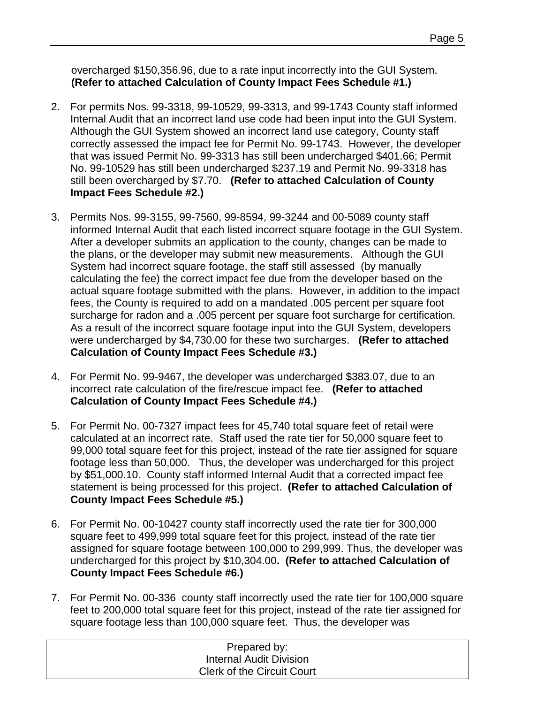overcharged \$150,356.96, due to a rate input incorrectly into the GUI System. **(Refer to attached Calculation of County Impact Fees Schedule #1.)** 

- 2. For permits Nos. 99-3318, 99-10529, 99-3313, and 99-1743 County staff informed Internal Audit that an incorrect land use code had been input into the GUI System. Although the GUI System showed an incorrect land use category, County staff correctly assessed the impact fee for Permit No. 99-1743. However, the developer that was issued Permit No. 99-3313 has still been undercharged \$401.66; Permit No. 99-10529 has still been undercharged \$237.19 and Permit No. 99-3318 has still been overcharged by \$7.70. **(Refer to attached Calculation of County Impact Fees Schedule #2.)**
- 3. Permits Nos. 99-3155, 99-7560, 99-8594, 99-3244 and 00-5089 county staff informed Internal Audit that each listed incorrect square footage in the GUI System. After a developer submits an application to the county, changes can be made to the plans, or the developer may submit new measurements. Although the GUI System had incorrect square footage, the staff still assessed (by manually calculating the fee) the correct impact fee due from the developer based on the actual square footage submitted with the plans. However, in addition to the impact fees, the County is required to add on a mandated .005 percent per square foot surcharge for radon and a .005 percent per square foot surcharge for certification. As a result of the incorrect square footage input into the GUI System, developers were undercharged by \$4,730.00 for these two surcharges. **(Refer to attached Calculation of County Impact Fees Schedule #3.)**
- 4. For Permit No. 99-9467, the developer was undercharged \$383.07, due to an incorrect rate calculation of the fire/rescue impact fee. **(Refer to attached Calculation of County Impact Fees Schedule #4.)**
- 5. For Permit No. 00-7327 impact fees for 45,740 total square feet of retail were calculated at an incorrect rate. Staff used the rate tier for 50,000 square feet to 99,000 total square feet for this project, instead of the rate tier assigned for square footage less than 50,000. Thus, the developer was undercharged for this project by \$51,000.10. County staff informed Internal Audit that a corrected impact fee statement is being processed for this project. **(Refer to attached Calculation of County Impact Fees Schedule #5.)**
- 6. For Permit No. 00-10427 county staff incorrectly used the rate tier for 300,000 square feet to 499,999 total square feet for this project, instead of the rate tier assigned for square footage between 100,000 to 299,999. Thus, the developer was undercharged for this project by \$10,304.00**. (Refer to attached Calculation of County Impact Fees Schedule #6.)**
- 7. For Permit No. 00-336 county staff incorrectly used the rate tier for 100,000 square feet to 200,000 total square feet for this project, instead of the rate tier assigned for square footage less than 100,000 square feet. Thus, the developer was

| Prepared by:                      |  |
|-----------------------------------|--|
| <b>Internal Audit Division</b>    |  |
| <b>Clerk of the Circuit Court</b> |  |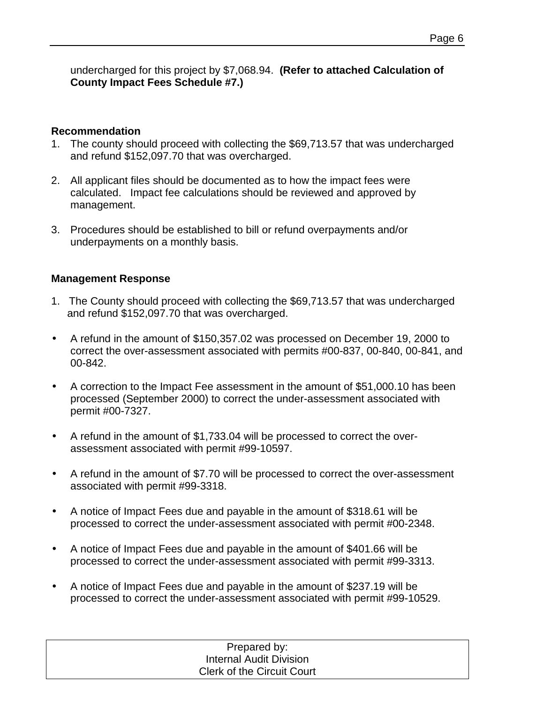undercharged for this project by \$7,068.94. **(Refer to attached Calculation of County Impact Fees Schedule #7.)** 

### **Recommendation**

- 1. The county should proceed with collecting the \$69,713.57 that was undercharged and refund \$152,097.70 that was overcharged.
- 2. All applicant files should be documented as to how the impact fees were calculated. Impact fee calculations should be reviewed and approved by management.
- 3. Procedures should be established to bill or refund overpayments and/or underpayments on a monthly basis.

### **Management Response**

- 1. The County should proceed with collecting the \$69,713.57 that was undercharged and refund \$152,097.70 that was overcharged.
- A refund in the amount of \$150,357.02 was processed on December 19, 2000 to correct the over-assessment associated with permits #00-837, 00-840, 00-841, and 00-842.
- A correction to the Impact Fee assessment in the amount of \$51,000.10 has been processed (September 2000) to correct the under-assessment associated with permit #00-7327.
- A refund in the amount of \$1,733.04 will be processed to correct the overassessment associated with permit #99-10597.
- A refund in the amount of \$7.70 will be processed to correct the over-assessment associated with permit #99-3318.
- A notice of Impact Fees due and payable in the amount of \$318.61 will be processed to correct the under-assessment associated with permit #00-2348.
- A notice of Impact Fees due and payable in the amount of \$401.66 will be processed to correct the under-assessment associated with permit #99-3313.
- A notice of Impact Fees due and payable in the amount of \$237.19 will be processed to correct the under-assessment associated with permit #99-10529.

| Prepared by:                      |  |
|-----------------------------------|--|
| <b>Internal Audit Division</b>    |  |
| <b>Clerk of the Circuit Court</b> |  |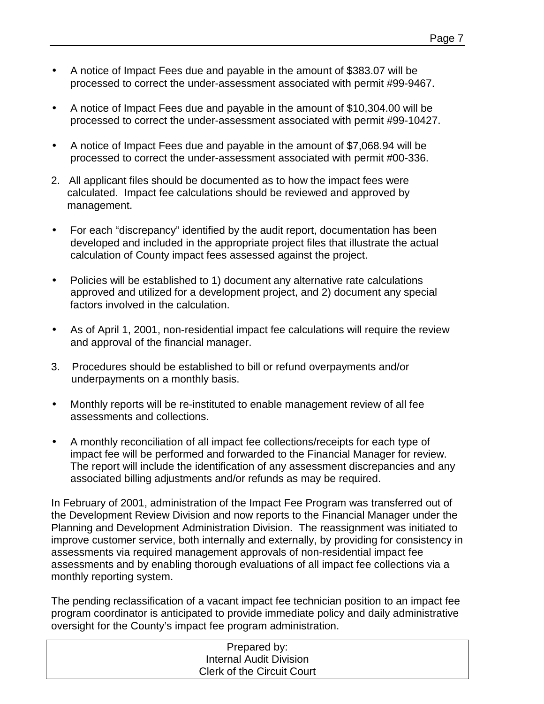- A notice of Impact Fees due and payable in the amount of \$383.07 will be processed to correct the under-assessment associated with permit #99-9467.
- A notice of Impact Fees due and payable in the amount of \$10,304.00 will be processed to correct the under-assessment associated with permit #99-10427.
- A notice of Impact Fees due and payable in the amount of \$7,068.94 will be processed to correct the under-assessment associated with permit #00-336.
- 2. All applicant files should be documented as to how the impact fees were calculated. Impact fee calculations should be reviewed and approved by management.
- For each "discrepancy" identified by the audit report, documentation has been developed and included in the appropriate project files that illustrate the actual calculation of County impact fees assessed against the project.
- Policies will be established to 1) document any alternative rate calculations approved and utilized for a development project, and 2) document any special factors involved in the calculation.
- As of April 1, 2001, non-residential impact fee calculations will require the review and approval of the financial manager.
- 3. Procedures should be established to bill or refund overpayments and/or underpayments on a monthly basis.
- Monthly reports will be re-instituted to enable management review of all fee assessments and collections.
- A monthly reconciliation of all impact fee collections/receipts for each type of impact fee will be performed and forwarded to the Financial Manager for review. The report will include the identification of any assessment discrepancies and any associated billing adjustments and/or refunds as may be required.

In February of 2001, administration of the Impact Fee Program was transferred out of the Development Review Division and now reports to the Financial Manager under the Planning and Development Administration Division. The reassignment was initiated to improve customer service, both internally and externally, by providing for consistency in assessments via required management approvals of non-residential impact fee assessments and by enabling thorough evaluations of all impact fee collections via a monthly reporting system.

The pending reclassification of a vacant impact fee technician position to an impact fee program coordinator is anticipated to provide immediate policy and daily administrative oversight for the County's impact fee program administration.

| Prepared by:                      |  |
|-----------------------------------|--|
| <b>Internal Audit Division</b>    |  |
| <b>Clerk of the Circuit Court</b> |  |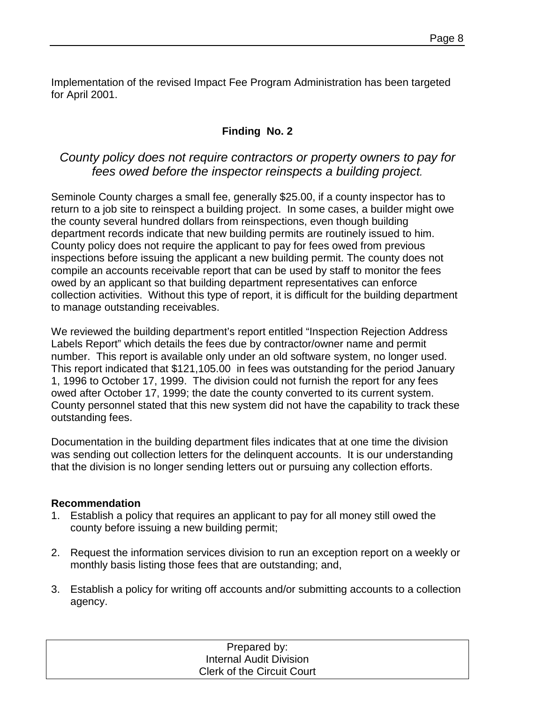Implementation of the revised Impact Fee Program Administration has been targeted for April 2001.

## **Finding No. 2**

## *County policy does not require contractors or property owners to pay for fees owed before the inspector reinspects a building project.*

Seminole County charges a small fee, generally \$25.00, if a county inspector has to return to a job site to reinspect a building project. In some cases, a builder might owe the county several hundred dollars from reinspections, even though building department records indicate that new building permits are routinely issued to him. County policy does not require the applicant to pay for fees owed from previous inspections before issuing the applicant a new building permit. The county does not compile an accounts receivable report that can be used by staff to monitor the fees owed by an applicant so that building department representatives can enforce collection activities. Without this type of report, it is difficult for the building department to manage outstanding receivables.

We reviewed the building department's report entitled "Inspection Rejection Address Labels Report" which details the fees due by contractor/owner name and permit number. This report is available only under an old software system, no longer used. This report indicated that \$121,105.00 in fees was outstanding for the period January 1, 1996 to October 17, 1999. The division could not furnish the report for any fees owed after October 17, 1999; the date the county converted to its current system. County personnel stated that this new system did not have the capability to track these outstanding fees.

Documentation in the building department files indicates that at one time the division was sending out collection letters for the delinquent accounts. It is our understanding that the division is no longer sending letters out or pursuing any collection efforts.

#### **Recommendation**

- 1. Establish a policy that requires an applicant to pay for all money still owed the county before issuing a new building permit;
- 2. Request the information services division to run an exception report on a weekly or monthly basis listing those fees that are outstanding; and,
- 3. Establish a policy for writing off accounts and/or submitting accounts to a collection agency.

| Prepared by:                      |
|-----------------------------------|
| <b>Internal Audit Division</b>    |
| <b>Clerk of the Circuit Court</b> |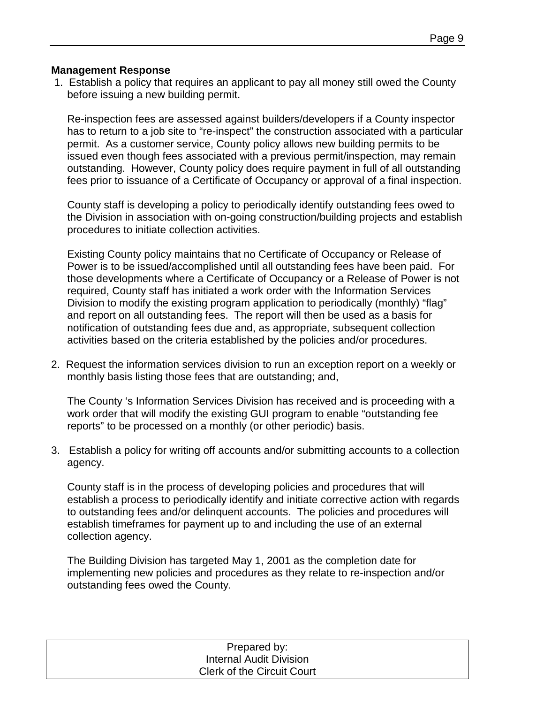#### **Management Response**

 1. Establish a policy that requires an applicant to pay all money still owed the County before issuing a new building permit.

Re-inspection fees are assessed against builders/developers if a County inspector has to return to a job site to "re-inspect" the construction associated with a particular permit. As a customer service, County policy allows new building permits to be issued even though fees associated with a previous permit/inspection, may remain outstanding. However, County policy does require payment in full of all outstanding fees prior to issuance of a Certificate of Occupancy or approval of a final inspection.

County staff is developing a policy to periodically identify outstanding fees owed to the Division in association with on-going construction/building projects and establish procedures to initiate collection activities.

Existing County policy maintains that no Certificate of Occupancy or Release of Power is to be issued/accomplished until all outstanding fees have been paid. For those developments where a Certificate of Occupancy or a Release of Power is not required, County staff has initiated a work order with the Information Services Division to modify the existing program application to periodically (monthly) "flag" and report on all outstanding fees. The report will then be used as a basis for notification of outstanding fees due and, as appropriate, subsequent collection activities based on the criteria established by the policies and/or procedures.

2. Request the information services division to run an exception report on a weekly or monthly basis listing those fees that are outstanding; and,

The County 's Information Services Division has received and is proceeding with a work order that will modify the existing GUI program to enable "outstanding fee reports" to be processed on a monthly (or other periodic) basis.

3. Establish a policy for writing off accounts and/or submitting accounts to a collection agency.

County staff is in the process of developing policies and procedures that will establish a process to periodically identify and initiate corrective action with regards to outstanding fees and/or delinquent accounts. The policies and procedures will establish timeframes for payment up to and including the use of an external collection agency.

The Building Division has targeted May 1, 2001 as the completion date for implementing new policies and procedures as they relate to re-inspection and/or outstanding fees owed the County.

| Prepared by:                      |  |
|-----------------------------------|--|
| <b>Internal Audit Division</b>    |  |
| <b>Clerk of the Circuit Court</b> |  |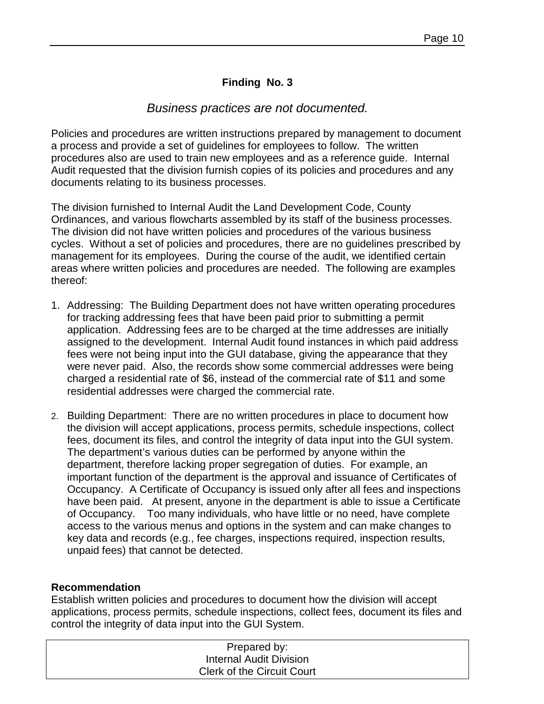### **Finding No. 3**

### *Business practices are not documented.*

Policies and procedures are written instructions prepared by management to document a process and provide a set of guidelines for employees to follow. The written procedures also are used to train new employees and as a reference guide. Internal Audit requested that the division furnish copies of its policies and procedures and any documents relating to its business processes.

The division furnished to Internal Audit the Land Development Code, County Ordinances, and various flowcharts assembled by its staff of the business processes. The division did not have written policies and procedures of the various business cycles. Without a set of policies and procedures, there are no guidelines prescribed by management for its employees. During the course of the audit, we identified certain areas where written policies and procedures are needed. The following are examples thereof:

- 1. Addressing: The Building Department does not have written operating procedures for tracking addressing fees that have been paid prior to submitting a permit application. Addressing fees are to be charged at the time addresses are initially assigned to the development. Internal Audit found instances in which paid address fees were not being input into the GUI database, giving the appearance that they were never paid. Also, the records show some commercial addresses were being charged a residential rate of \$6, instead of the commercial rate of \$11 and some residential addresses were charged the commercial rate.
- 2. Building Department: There are no written procedures in place to document how the division will accept applications, process permits, schedule inspections, collect fees, document its files, and control the integrity of data input into the GUI system. The department's various duties can be performed by anyone within the department, therefore lacking proper segregation of duties. For example, an important function of the department is the approval and issuance of Certificates of Occupancy. A Certificate of Occupancy is issued only after all fees and inspections have been paid. At present, anyone in the department is able to issue a Certificate of Occupancy. Too many individuals, who have little or no need, have complete access to the various menus and options in the system and can make changes to key data and records (e.g., fee charges, inspections required, inspection results, unpaid fees) that cannot be detected.

#### **Recommendation**

Establish written policies and procedures to document how the division will accept applications, process permits, schedule inspections, collect fees, document its files and control the integrity of data input into the GUI System.

| Prepared by:                      |  |
|-----------------------------------|--|
| <b>Internal Audit Division</b>    |  |
| <b>Clerk of the Circuit Court</b> |  |
|                                   |  |